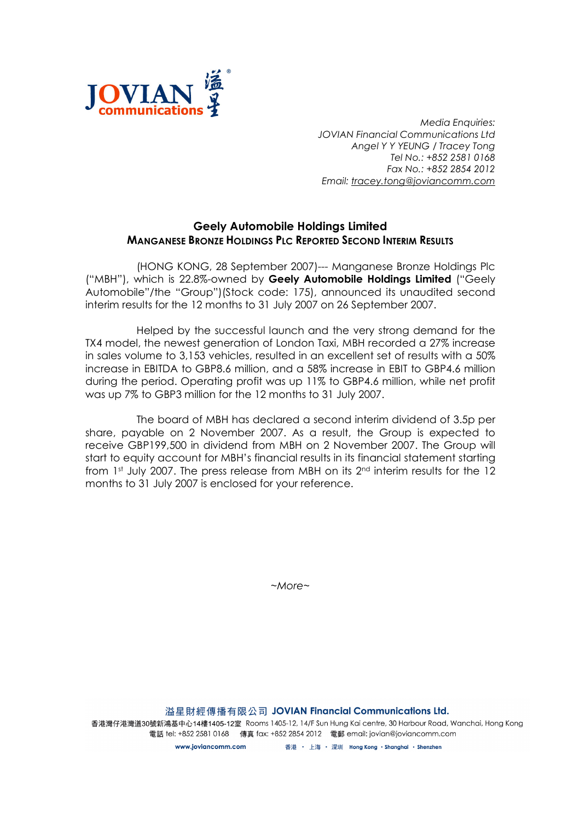

Media Enquiries: JOVIAN Financial Communications Ltd Angel Y Y YEUNG / Tracey Tong Tel No.: +852 2581 0168 Fax No.: +852 2854 2012 Email: tracey.tong@joviancomm.com

## Geely Automobile Holdings Limited MANGANESE BRONZE HOLDINGS PLC REPORTED SECOND INTERIM RESULTS

(HONG KONG, 28 September 2007)--- Manganese Bronze Holdings Plc ("MBH"), which is 22.8%-owned by Geely Automobile Holdings Limited ("Geely Automobile"/the "Group")(Stock code: 175), announced its unaudited second interim results for the 12 months to 31 July 2007 on 26 September 2007.

Helped by the successful launch and the very strong demand for the TX4 model, the newest generation of London Taxi, MBH recorded a 27% increase in sales volume to 3,153 vehicles, resulted in an excellent set of results with a 50% increase in EBITDA to GBP8.6 million, and a 58% increase in EBIT to GBP4.6 million during the period. Operating profit was up 11% to GBP4.6 million, while net profit was up 7% to GBP3 million for the 12 months to 31 July 2007.

The board of MBH has declared a second interim dividend of 3.5p per share, payable on 2 November 2007. As a result, the Group is expected to receive GBP199,500 in dividend from MBH on 2 November 2007. The Group will start to equity account for MBH's financial results in its financial statement starting from 1st July 2007. The press release from MBH on its 2<sup>nd</sup> interim results for the 12 months to 31 July 2007 is enclosed for your reference.

~More~

溢星財經傳播有限公司 JOVIAN Financial Communications Ltd.

香港灣仔港灣道30號新鴻基中心14樓1405-12室 Rooms 1405-12, 14/F Sun Hung Kai centre, 30 Harbour Road, Wanchai, Hong Kong 電話 tel: +852 2581 0168 傳真 fax: +852 2854 2012 電郵 email: jovian@joviancomm.com

> www.ioviancomm.com 香港 ・ 上海 ・ 深圳 Hong Kong ・Shanghai ・Shenzhen